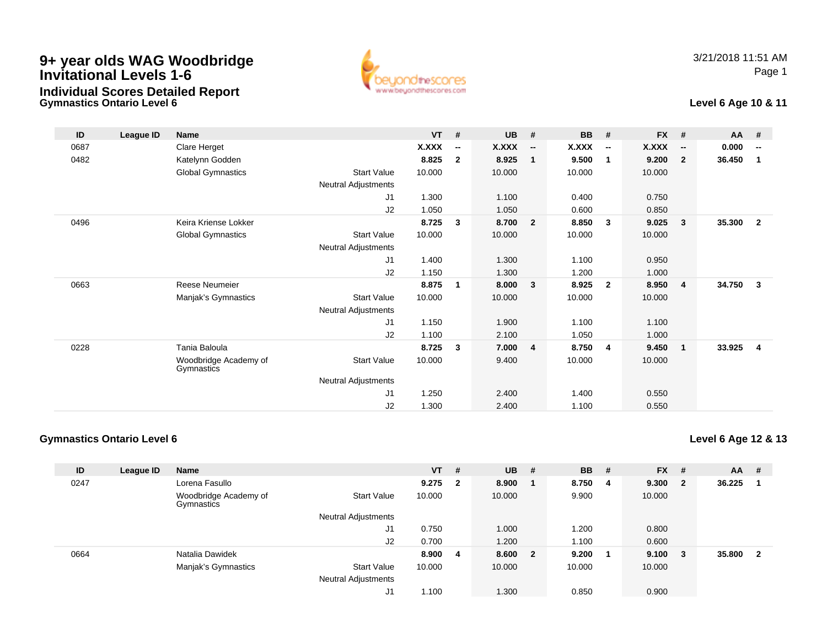# **9+ year olds WAG Woodbridge Invitational Levels 1-6Individual Scores Detailed Report**

**Gymnastics Ontario Level 6**



### **Level 6 Age 10 & 11**

| ID   | League ID | <b>Name</b>                         |                     | <b>VT</b>    | #                        | <b>UB</b>    | #                        | <b>BB</b> | #                        | <b>FX</b>    | #                        | $AA$ # |                          |
|------|-----------|-------------------------------------|---------------------|--------------|--------------------------|--------------|--------------------------|-----------|--------------------------|--------------|--------------------------|--------|--------------------------|
| 0687 |           | Clare Herget                        |                     | <b>X.XXX</b> | $\overline{\phantom{a}}$ | <b>X.XXX</b> | $\overline{\phantom{a}}$ | X.XXX     | $\overline{\phantom{a}}$ | <b>X.XXX</b> | $\overline{\phantom{a}}$ | 0.000  | $\overline{\phantom{a}}$ |
| 0482 |           | Katelynn Godden                     |                     | 8.825        | $\mathbf{2}$             | 8.925        | $\mathbf 1$              | 9.500     | $\overline{1}$           | 9.200        | $\overline{2}$           | 36.450 | 1                        |
|      |           | <b>Global Gymnastics</b>            | <b>Start Value</b>  | 10.000       |                          | 10.000       |                          | 10.000    |                          | 10.000       |                          |        |                          |
|      |           |                                     | Neutral Adjustments |              |                          |              |                          |           |                          |              |                          |        |                          |
|      |           |                                     | J1                  | 1.300        |                          | 1.100        |                          | 0.400     |                          | 0.750        |                          |        |                          |
|      |           |                                     | J2                  | 1.050        |                          | 1.050        |                          | 0.600     |                          | 0.850        |                          |        |                          |
| 0496 |           | Keira Kriense Lokker                |                     | 8.725        | 3                        | 8.700        | $\overline{\mathbf{2}}$  | 8.850     | $\overline{\mathbf{3}}$  | 9.025        | $\mathbf{3}$             | 35.300 | $\overline{2}$           |
|      |           | <b>Global Gymnastics</b>            | <b>Start Value</b>  | 10.000       |                          | 10.000       |                          | 10.000    |                          | 10.000       |                          |        |                          |
|      |           |                                     | Neutral Adjustments |              |                          |              |                          |           |                          |              |                          |        |                          |
|      |           |                                     | J1                  | 1.400        |                          | 1.300        |                          | 1.100     |                          | 0.950        |                          |        |                          |
|      |           |                                     | J2                  | 1.150        |                          | 1.300        |                          | 1.200     |                          | 1.000        |                          |        |                          |
| 0663 |           | <b>Reese Neumeier</b>               |                     | 8.875        | 1                        | 8.000        | $\mathbf{3}$             | 8.925     | $\overline{\mathbf{2}}$  | 8.950        | $\overline{4}$           | 34.750 | 3                        |
|      |           | Manjak's Gymnastics                 | <b>Start Value</b>  | 10.000       |                          | 10.000       |                          | 10.000    |                          | 10.000       |                          |        |                          |
|      |           |                                     | Neutral Adjustments |              |                          |              |                          |           |                          |              |                          |        |                          |
|      |           |                                     | J1                  | 1.150        |                          | 1.900        |                          | 1.100     |                          | 1.100        |                          |        |                          |
|      |           |                                     | J2                  | 1.100        |                          | 2.100        |                          | 1.050     |                          | 1.000        |                          |        |                          |
| 0228 |           | Tania Baloula                       |                     | 8.725        | $\mathbf{3}$             | 7.000        | $\overline{4}$           | 8.750     | $\overline{\mathbf{4}}$  | 9.450        | $\mathbf 1$              | 33.925 | $\overline{4}$           |
|      |           | Woodbridge Academy of<br>Gymnastics | <b>Start Value</b>  | 10.000       |                          | 9.400        |                          | 10.000    |                          | 10.000       |                          |        |                          |
|      |           |                                     | Neutral Adjustments |              |                          |              |                          |           |                          |              |                          |        |                          |
|      |           |                                     | J1                  | 1.250        |                          | 2.400        |                          | 1.400     |                          | 0.550        |                          |        |                          |
|      |           |                                     | J2                  | 1.300        |                          | 2.400        |                          | 1.100     |                          | 0.550        |                          |        |                          |

### **Gymnastics Ontario Level 6**

**Level 6 Age 12 & 13**

| ID   | League ID | <b>Name</b>                         |                            | <b>VT</b> | #                       | <b>UB</b> | - #                     | <b>BB</b> | #  | <b>FX</b> | # | <b>AA</b> | #            |
|------|-----------|-------------------------------------|----------------------------|-----------|-------------------------|-----------|-------------------------|-----------|----|-----------|---|-----------|--------------|
| 0247 |           | Lorena Fasullo                      |                            | 9.275     | $\overline{\mathbf{2}}$ | 8.900     |                         | 8.750     | -4 | 9.300     | 2 | 36.225    |              |
|      |           | Woodbridge Academy of<br>Gymnastics | <b>Start Value</b>         | 10.000    |                         | 10.000    |                         | 9.900     |    | 10.000    |   |           |              |
|      |           |                                     | <b>Neutral Adjustments</b> |           |                         |           |                         |           |    |           |   |           |              |
|      |           |                                     | J1                         | 0.750     |                         | 1.000     |                         | 1.200     |    | 0.800     |   |           |              |
|      |           |                                     | J2                         | 0.700     |                         | 1.200     |                         | 1.100     |    | 0.600     |   |           |              |
| 0664 |           | Natalia Dawidek                     |                            | 8.900     | 4                       | 8.600     | $\overline{\mathbf{2}}$ | 9.200     |    | 9.100     | 3 | 35.800    | $\mathbf{2}$ |
|      |           | Manjak's Gymnastics                 | <b>Start Value</b>         | 10.000    |                         | 10.000    |                         | 10.000    |    | 10.000    |   |           |              |
|      |           |                                     | <b>Neutral Adjustments</b> |           |                         |           |                         |           |    |           |   |           |              |
|      |           |                                     | J1                         | 1.100     |                         | 1.300     |                         | 0.850     |    | 0.900     |   |           |              |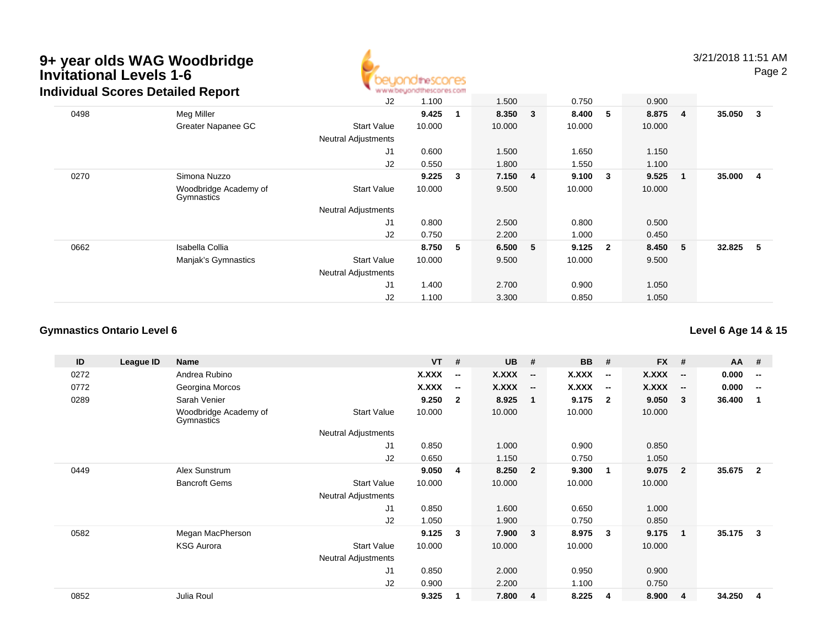### **9+ year olds WAG WoodbridgeInvitational Levels 1-6**



|      | Individual Scores Detailed Report   | www.beyondthescores.com    |        |   |        |   |        |                         |         |   |        |                |
|------|-------------------------------------|----------------------------|--------|---|--------|---|--------|-------------------------|---------|---|--------|----------------|
|      |                                     | J2                         | 1.100  |   | 1.500  |   | 0.750  |                         | 0.900   |   |        |                |
| 0498 | Meg Miller                          |                            | 9.425  |   | 8.350  | 3 | 8.400  | 5                       | 8.875 4 |   | 35.050 | $_{3}$         |
|      | Greater Napanee GC                  | <b>Start Value</b>         | 10.000 |   | 10.000 |   | 10.000 |                         | 10.000  |   |        |                |
|      |                                     | <b>Neutral Adjustments</b> |        |   |        |   |        |                         |         |   |        |                |
|      |                                     | J <sub>1</sub>             | 0.600  |   | 1.500  |   | 1.650  |                         | 1.150   |   |        |                |
|      |                                     | J2                         | 0.550  |   | 1.800  |   | 1.550  |                         | 1.100   |   |        |                |
| 0270 | Simona Nuzzo                        |                            | 9.225  | 3 | 7.150  | 4 | 9.100  | 3                       | 9.525   |   | 35.000 | $\overline{4}$ |
|      | Woodbridge Academy of<br>Gymnastics | <b>Start Value</b>         | 10.000 |   | 9.500  |   | 10.000 |                         | 10.000  |   |        |                |
|      |                                     | <b>Neutral Adjustments</b> |        |   |        |   |        |                         |         |   |        |                |
|      |                                     | J1                         | 0.800  |   | 2.500  |   | 0.800  |                         | 0.500   |   |        |                |
|      |                                     | J2                         | 0.750  |   | 2.200  |   | 1.000  |                         | 0.450   |   |        |                |
| 0662 | Isabella Collia                     |                            | 8.750  | 5 | 6.500  | 5 | 9.125  | $\overline{\mathbf{2}}$ | 8.450   | 5 | 32.825 | $-5$           |
|      | Manjak's Gymnastics                 | <b>Start Value</b>         | 10.000 |   | 9.500  |   | 10.000 |                         | 9.500   |   |        |                |
|      |                                     | <b>Neutral Adjustments</b> |        |   |        |   |        |                         |         |   |        |                |
|      |                                     | J1                         | 1.400  |   | 2.700  |   | 0.900  |                         | 1.050   |   |        |                |
|      |                                     | J2                         | 1.100  |   | 3.300  |   | 0.850  |                         | 1.050   |   |        |                |

#### **Gymnastics Ontario Level 6**

**ID League ID Name VT # UB # BB # FX # AA #** 0272 Andrea Rubino **X.XXX -- X.XXX -- X.XXX -- X.XXX -- 0.000 --** 0772 Georgina Morcos **X.XXX -- X.XXX -- X.XXX -- X.XXX -- 0.000 --** 0289 Sarah Venier **9.250 <sup>2</sup> 8.925 <sup>1</sup> 9.175 <sup>2</sup> 9.050 <sup>3</sup> 36.400 <sup>1</sup>** Woodbridge Academy of GymnasticsStart Valuee 10.000 10.000 10.000 10.000 Neutral Adjustments J1 0.850 1.000 0.900 0.850 J2 0.650 1.150 0.750 1.050 0449 Alex Sunstrum **9.050 <sup>4</sup> 8.250 <sup>2</sup> 9.300 <sup>1</sup> 9.075 <sup>2</sup> 35.675 <sup>2</sup>** Bancroft Gems Start Valuee 10.000 10.000 10.000 10.000 Neutral Adjustments J1 0.850 1.600 0.650 1.000 J2 1.050 1.900 0.750 0.850 0582 Megan MacPherson **9.125 <sup>3</sup> 7.900 <sup>3</sup> 8.975 <sup>3</sup> 9.175 <sup>1</sup> 35.175 <sup>3</sup>** KSG Aurora Start Value 10.000 10.000 10.000 10.000 Neutral Adjustments J1 0.850 2.000 0.950 0.900 J2 0.900 2.200 1.100 0.750 0852Julia Roul **9.325 <sup>1</sup> 7.800 <sup>4</sup> 8.225 <sup>4</sup> 8.900 <sup>4</sup> 34.250 <sup>4</sup>**

**Level 6 Age 14 & 15**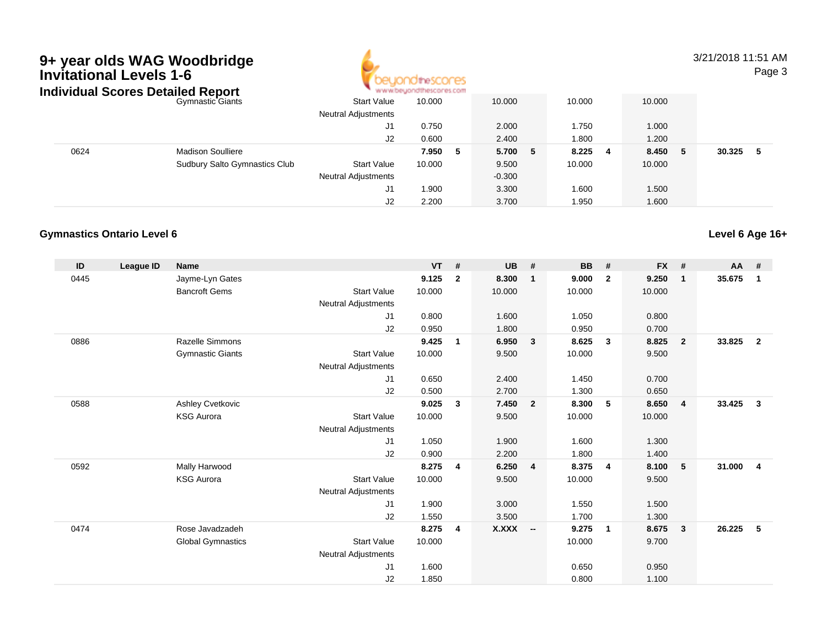# **9+ year olds WAG Woodbridge Invitational Levels 1-6**



3/21/2018 11:51 AMPage 3

|      | Individual Scores Detailed Report    | www.beyondthescores.com    |              |          |              |             |        |
|------|--------------------------------------|----------------------------|--------------|----------|--------------|-------------|--------|
|      | <b>Gymnastic Giants</b>              | <b>Start Value</b>         | 10.000       | 10.000   | 10.000       | 10.000      |        |
|      |                                      | <b>Neutral Adjustments</b> |              |          |              |             |        |
|      |                                      | J1                         | 0.750        | 2.000    | 1.750        | 1.000       |        |
|      |                                      | J2                         | 0.600        | 2.400    | 1.800        | 1.200       |        |
| 0624 | <b>Madison Soulliere</b>             |                            | 7.950<br>- 5 | 5.700 5  | 8.225<br>- 4 | 8.450<br>5. | 30.325 |
|      | <b>Sudbury Salto Gymnastics Club</b> | <b>Start Value</b>         | 10.000       | 9.500    | 10.000       | 10.000      |        |
|      |                                      | <b>Neutral Adjustments</b> |              | $-0.300$ |              |             |        |
|      |                                      | J1                         | 1.900        | 3.300    | 1.600        | 1.500       |        |
|      |                                      | J2                         | 2.200        | 3.700    | 1.950        | 1.600       |        |

### **Gymnastics Ontario Level 6**

| ID   | League ID | <b>Name</b>              |                            | <b>VT</b> | #              | <b>UB</b>    | #                       | <b>BB</b> | #              | <b>FX</b> | #              | $AA$ # |                |
|------|-----------|--------------------------|----------------------------|-----------|----------------|--------------|-------------------------|-----------|----------------|-----------|----------------|--------|----------------|
| 0445 |           | Jayme-Lyn Gates          |                            | 9.125     | $\mathbf{2}$   | 8.300        | $\mathbf 1$             | 9.000     | $\overline{2}$ | 9.250     | $\mathbf{1}$   | 35.675 | $\mathbf 1$    |
|      |           | <b>Bancroft Gems</b>     | <b>Start Value</b>         | 10.000    |                | 10.000       |                         | 10.000    |                | 10.000    |                |        |                |
|      |           |                          | <b>Neutral Adjustments</b> |           |                |              |                         |           |                |           |                |        |                |
|      |           |                          | J <sub>1</sub>             | 0.800     |                | 1.600        |                         | 1.050     |                | 0.800     |                |        |                |
|      |           |                          | J2                         | 0.950     |                | 1.800        |                         | 0.950     |                | 0.700     |                |        |                |
| 0886 |           | <b>Razelle Simmons</b>   |                            | 9.425     | 1              | 6.950        | $\overline{\mathbf{3}}$ | 8.625     | $\mathbf{3}$   | 8.825     | $\overline{2}$ | 33.825 | $\overline{2}$ |
|      |           | <b>Gymnastic Giants</b>  | <b>Start Value</b>         | 10.000    |                | 9.500        |                         | 10.000    |                | 9.500     |                |        |                |
|      |           |                          | <b>Neutral Adjustments</b> |           |                |              |                         |           |                |           |                |        |                |
|      |           |                          | J1                         | 0.650     |                | 2.400        |                         | 1.450     |                | 0.700     |                |        |                |
|      |           |                          | J2                         | 0.500     |                | 2.700        |                         | 1.300     |                | 0.650     |                |        |                |
| 0588 |           | Ashley Cvetkovic         |                            | 9.025     | $\mathbf{3}$   | 7.450        | $\overline{\mathbf{2}}$ | 8.300     | -5             | 8.650     | $\overline{4}$ | 33.425 | $\mathbf{3}$   |
|      |           | <b>KSG Aurora</b>        | <b>Start Value</b>         | 10.000    |                | 9.500        |                         | 10.000    |                | 10.000    |                |        |                |
|      |           |                          | <b>Neutral Adjustments</b> |           |                |              |                         |           |                |           |                |        |                |
|      |           |                          | J1                         | 1.050     |                | 1.900        |                         | 1.600     |                | 1.300     |                |        |                |
|      |           |                          | J2                         | 0.900     |                | 2.200        |                         | 1.800     |                | 1.400     |                |        |                |
| 0592 |           | Mally Harwood            |                            | 8.275     | $\overline{4}$ | 6.250        | $\overline{4}$          | 8.375     | -4             | 8.100     | 5              | 31.000 | $\overline{4}$ |
|      |           | <b>KSG Aurora</b>        | <b>Start Value</b>         | 10.000    |                | 9.500        |                         | 10.000    |                | 9.500     |                |        |                |
|      |           |                          | <b>Neutral Adjustments</b> |           |                |              |                         |           |                |           |                |        |                |
|      |           |                          | J <sub>1</sub>             | 1.900     |                | 3.000        |                         | 1.550     |                | 1.500     |                |        |                |
|      |           |                          | J2                         | 1.550     |                | 3.500        |                         | 1.700     |                | 1.300     |                |        |                |
| 0474 |           | Rose Javadzadeh          |                            | 8.275     | $\overline{4}$ | <b>X.XXX</b> | $\sim$                  | 9.275     | $\overline{1}$ | 8.675     | $\mathbf{3}$   | 26.225 | 5              |
|      |           | <b>Global Gymnastics</b> | <b>Start Value</b>         | 10.000    |                |              |                         | 10.000    |                | 9.700     |                |        |                |
|      |           |                          | <b>Neutral Adjustments</b> |           |                |              |                         |           |                |           |                |        |                |
|      |           |                          | J <sub>1</sub>             | 1.600     |                |              |                         | 0.650     |                | 0.950     |                |        |                |
|      |           |                          | J <sub>2</sub>             | 1.850     |                |              |                         | 0.800     |                | 1.100     |                |        |                |

**Level 6 Age 16+**